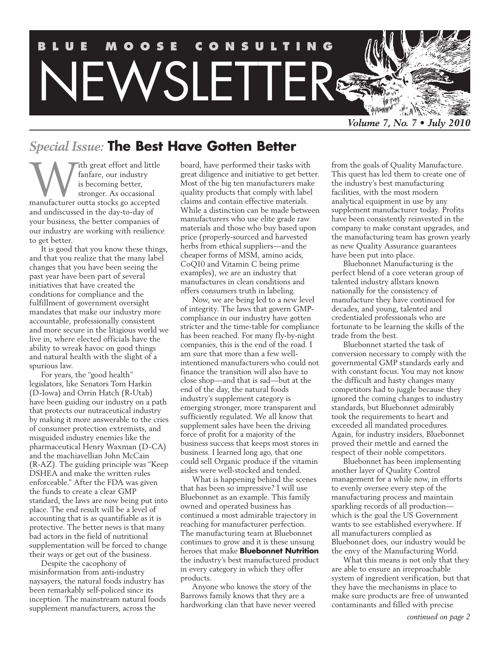

## *Special Issue:* **The Best Have Gotten Better**

With great effort and little<br>fanfare, our industry<br>is becoming better,<br>stronger. As occasional<br>manufacturer outta stocks go accepted fanfare, our industry is becoming better, stronger. As occasional and undiscussed in the day-to-day of your business, the better companies of our industry are working with resilience to get better.

It is good that you know these things, and that you realize that the many label changes that you have been seeing the past year have been part of several initiatives that have created the conditions for compliance and the fulfillment of government oversight mandates that make our industry more accountable, professionally consistent and more secure in the litigious world we live in, where elected officials have the ability to wreak havoc on good things and natural health with the slight of a spurious law.

For years, the "good health" legislators, like Senators Tom Harkin (D-Iowa) and Orrin Hatch (R-Utah) have been guiding our industry on a path that protects our nutraceutical industry by making it more answerable to the cries of consumer protection extremists, and misguided industry enemies like the pharmaceutical Henry Waxman (D-CA) and the machiavellian John McCain (R-AZ). The guiding principle was "Keep DSHEA and make the written rules enforceable." After the FDA was given the funds to create a clear GMP standard, the laws are now being put into place. The end result will be a level of accounting that is as quantifiable as it is protective. The better news is that many bad actors in the field of nutritional supplementation will be forced to change their ways or get out of the business.

Despite the cacophony of misinformation from anti-industry naysayers, the natural foods industry has been remarkably self-policed since its inception. The mainstream natural foods supplement manufacturers, across the

board, have performed their tasks with great diligence and initiative to get better. Most of the big ten manufacturers make quality products that comply with label claims and contain effective materials. While a distinction can be made between manufacturers who use elite grade raw materials and those who buy based upon price (properly-sourced and harvested herbs from ethical suppliers—and the cheaper forms of MSM, amino acids, CoQ10 and Vitamin C being prime examples), we are an industry that manufactures in clean conditions and offers consumers truth in labeling.

Now, we are being led to a new level of integrity. The laws that govern GMPcompliance in our industry have gotten stricter and the time-table for compliance has been reached. For many fly-by-night companies, this is the end of the road. I am sure that more than a few wellintentioned manufacturers who could not finance the transition will also have to close shop—and that is sad—but at the end of the day, the natural foods industry's supplement category is emerging stronger, more transparent and sufficiently regulated. We all know that supplement sales have been the driving force of profit for a majority of the business success that keeps most stores in business. I learned long ago, that one could sell Organic produce if the vitamin aisles were well-stocked and tended.

What is happening behind the scenes that has been so impressive? I will use Bluebonnet as an example. This family owned and operated business has continued a most admirable trajectory in reaching for manufacturer perfection. The manufacturing team at Bluebonnet continues to grow and it is these unsung heroes that make **Bluebonnet Nutrition** the industry's best manufactured product in every category in which they offer products.

Anyone who knows the story of the Barrows family knows that they are a hardworking clan that have never veered from the goals of Quality Manufacture. This quest has led them to create one of the industry's best manufacturing facilities, with the most modern analytical equipment in use by any supplement manufacturer today. Profits have been consistently reinvested in the company to make constant upgrades, and the manufacturing team has grown yearly as new Quality Assurance guarantees have been put into place.

Bluebonnet Manufacturing is the perfect blend of a core veteran group of talented industry allstars known nationally for the consistency of manufacture they have continued for decades, and young, talented and credentialed professionals who are fortunate to be learning the skills of the trade from the best.

Bluebonnet started the task of conversion necessary to comply with the governmental GMP standards early and with constant focus. You may not know the difficult and hasty changes many competitors had to juggle because they ignored the coming changes to industry standards, but Bluebonnet admirably took the requirements to heart and exceeded all mandated procedures. Again, for industry insiders, Bluebonnet proved their mettle and earned the respect of their noble competitors.

Bluebonnet has been implementing another layer of Quality Control management for a while now, in efforts to evenly oversee every step of the manufacturing process and maintain sparkling records of all production which is the goal the US Government wants to see established everywhere. If all manufacturers complied as Bluebonnet does, our industry would be the envy of the Manufacturing World.

What this means is not only that they are able to ensure an irreproachable system of ingredient verification, but that they have the mechanisms in place to make sure products are free of unwanted contaminants and filled with precise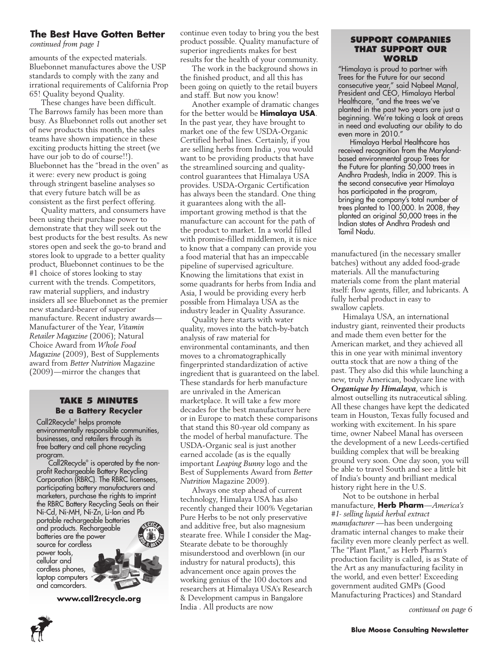### **The Best Have Gotten Better**

*continued from page 1*

amounts of the expected materials. Bluebonnet manufactures above the USP standards to comply with the zany and irrational requirements of California Prop 65! Quality beyond Quality.

These changes have been difficult. The Barrows family has been more than busy. As Bluebonnet rolls out another set of new products this month, the sales teams have shown impatience in these exciting products hitting the street (we have our job to do of course!!). Bluebonnet has the "bread in the oven" as it were: every new product is going through stringent baseline analyses so that every future batch will be as consistent as the first perfect offering.

Quality matters, and consumers have been using their purchase power to demonstrate that they will seek out the best products for the best results. As new stores open and seek the go-to brand and stores look to upgrade to a better quality product, Bluebonnet continues to be the #1 choice of stores looking to stay current with the trends. Competitors, raw material suppliers, and industry insiders all see Bluebonnet as the premier new standard-bearer of superior manufacture. Recent industry awards— Manufacturer of the Year, *Vitamin Retailer Magazine* (2006); Natural Choice Award from *Whole Food Magazine* (2009), Best of Supplements award from *Better Nutrition* Magazine (2009)—mirror the changes that

### **Take 5 Minutes Be a Battery Recycler**

Call2Recycle® helps promote environmentally responsible communities, businesses, and retailers through its free battery and cell phone recycling program.

Call2Recycle® is operated by the nonprofit Rechargeable Battery Recycling Corporation (RBRC). The RBRC licensees, participating battery manufacturers and marketers, purchase the rights to imprint the RBRC Battery Recycling Seals on their Ni-Cd, Ni-MH, Ni-Zn, Li-Ion and Pb portable rechargeable batteries and products. Rechargeable batteries are the power source for cordless power tools, cellular and cordless phones, laptop computers and camcorders.

**www.call2recycle.org**

continue even today to bring you the best product possible. Quality manufacture of superior ingredients makes for best results for the health of your community.

The work in the background shows in the finished product, and all this has been going on quietly to the retail buyers and staff. But now you know!

Another example of dramatic changes for the better would be **Himalaya USA**. In the past year, they have brought to market one of the few USDA-Organic Certified herbal lines. Certainly, if you are selling herbs from India , you would want to be providing products that have the streamlined sourcing and qualitycontrol guarantees that Himalaya USA provides. USDA-Organic Certification has always been the standard. One thing it guarantees along with the allimportant growing method is that the manufacture can account for the path of the product to market. In a world filled with promise-filled middlemen, it is nice to know that a company can provide you a food material that has an impeccable pipeline of supervised agriculture. Knowing the limitations that exist in some quadrants for herbs from India and Asia, I would be providing every herb possible from Himalaya USA as the industry leader in Quality Assurance.

Quality here starts with water quality, moves into the batch-by-batch analysis of raw material for environmental contaminants, and then moves to a chromatographically fingerprinted standardization of active ingredient that is guaranteed on the label. These standards for herb manufacture are unrivaled in the American marketplace. It will take a few more decades for the best manufacturer here or in Europe to match these comparisons that stand this 80-year old company as the model of herbal manufacture. The USDA-Organic seal is just another earned accolade (as is the equally important *Leaping Bunny* logo and the Best of Supplements Award from *Better Nutrition* Magazine 2009).

Always one step ahead of current technology, Himalaya USA has also recently changed their 100% Vegetarian Pure Herbs to be not only preservative and additive free, but also magnesium stearate free. While I consider the Mag-Stearate debate to be thoroughly misunderstood and overblown (in our industry for natural products), this advancement once again proves the working genius of the 100 doctors and researchers at Himalaya USA's Research & Development campus in Bangalore India . All products are now

#### **Support Companies that support our WORLD**

"Himalaya is proud to partner with Trees for the Future for our second consecutive year," said Nabeel Manal, President and CEO, Himalaya Herbal Healthcare, "and the trees we've planted in the past two years are just a beginning. We're taking a look at areas in need and evaluating our ability to do even more in 2010."

Himalaya Herbal Healthcare has received recognition from the Marylandbased environmental group Trees for the Future for planting 50,000 trees in Andhra Pradesh, India in 2009. This is the second consecutive year Himalaya has participated in the program, bringing the company's total number of trees planted to 100,000. In 2008, they planted an original 50,000 trees in the Indian states of Andhra Pradesh and Tamil Nadu.

manufactured (in the necessary smaller batches) without any added food-grade materials. All the manufacturing materials come from the plant material itself: flow agents, filler, and lubricants. A fully herbal product in easy to swallow caplets.

Himalaya USA, an international industry giant, reinvented their products and made them even better for the American market, and they achieved all this in one year with minimal inventory outta stock that are now a thing of the past. They also did this while launching a new, truly American, bodycare line with *Organique by Himalaya*, which is almost outselling its nutraceutical sibling. All these changes have kept the dedicated team in Houston, Texas fully focused and working with excitement. In his spare time, owner Nabeel Manal has overseen the development of a new Leeds-certified building complex that will be breaking ground very soon. One day soon, you will be able to travel South and see a little bit of India's bounty and brilliant medical history right here in the U.S.

Not to be outshone in herbal manufacture, **Herb Pharm**—*America's #1- selling liquid herbal extract manufacturer* —has been undergoing dramatic internal changes to make their facility even more cleanly perfect as well. The "Plant Plant," as Herb Pharm's production facility is called, is as State of the Art as any manufacturing facility in the world, and even better! Exceeding government audited GMPs (Good Manufacturing Practices) and Standard

*continued on page 6*

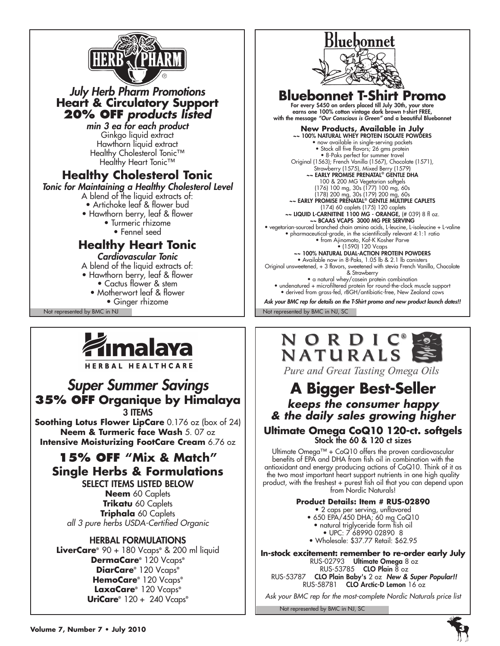

## *July Herb Pharm Promotions*  **Heart & Circulatory Support 20% off** *products listed*

*min 3 ea for each product* Ginkgo liquid extract Hawthorn liquid extract Healthy Cholesterol Tonic<sup>™</sup> Healthy Heart Tonic<sup>™</sup>

## **Healthy Cholesterol Tonic**

*Tonic for Maintaining a Healthy Cholesterol Level*

- A blend of the liquid extracts of:
- Artichoke leaf & flower bud
- Hawthorn berry, leaf & flower
	- Turmeric rhizome
		- Fennel seed

## **Healthy Heart Tonic**

*Cardiovascular Tonic*

- A blend of the liquid extracts of:
- Hawthorn berry, leaf & flower
	- Cactus flower & stem
	- Motherwort leaf & flower
		- Ginger rhizome



### HERBAL HEALTHCARE

## *Super Summer Savings* **35% OFF Organique by Himalaya** 3 **ITEMS**

**Soothing Lotus Flower LipCare** 0.176 oz (box of 24) **Neem & Turmeric face Wash** 5. 07 oz **Intensive Moisturizing FootCare Cream** 6.76 oz

## **15% OFF "Mix & Match" Single Herbs & Formulations**

select items listed below **Neem** 60 Caplets **Trikatu** 60 Caplets **Triphala** 60 Caplets *all 3 pure herbs USDA-Certified Organic*

### Herbal Formulations

**LiverCare®** 90 + 180 Vcaps**®** & 200 ml liquid **DermaCare®** 120 Vcaps**® DiarCare®** 120 Vcaps**® HemoCare®** 120 Vcaps**® LaxaCare®** 120 Vcaps**® UriCare®** 120 + 240 Vcaps**®**



## **Bluebonnet T-Shirt Promo**

For every \$450 on orders placed till July 30th, your store earns one 100% cotton vintage dark brown t-shirt FREE, with the message *"Our Conscious is Green"* and a beautiful Bluebonnet

**New Products, Available in July<br>~~ 100% NATURAL WHEY PROTEIN ISOLATE POWDERS** • now available in single-serving packets • Stock all five flavors; 26 gms protein • 8-Paks perfect for summer travel Original (1563); French Vanilla (1567), Chocolate (1571), Strawberry (1575), Mixed Berry (1579)<br>**EARLY PROMISE PRENATAL® GENTLE D** 100 & 200 MG Vegetarian softgels (176) 100 mg, 30s (177) 100 mg, 60s (178) 200 mg, 30s (179) 200 mg, 60s ~~ EARLY PROMISE PRENATAL® GENTLE MULTIPLE CAPLETS (174) 60 caplets (175) 120 caplets ~~ Liquid L-Carnitine 1100 mg - Orange, (# 039) 8 fl oz. ~~ BCAAs Vcaps 3000 mg per serving • vegetarian-sourced branched chain amino acids, L-leucine, L-isoleucine + L-valine • pharmaceutical-grade, in the scientifically relevant 4:1:1 ratio • from Ajinomoto, Kof-K Kosher Parve • (1590) 120 Vcaps ~~ 100% NATURAL DUAL-ACTION PROTEIN POWDERS • Available now in 8-Paks, 1.05 lb & 2.1 lb canisters Original unsweetened, + 3 flavors, sweetened with stevia French Vanilla, Chocolate & Strawberry • a natural whey/casein protein combination • undenatured + microfiltered protein for round-the-clock muscle support • derived from grass-fed, rBGH/antibiotic-free, New Zealand cows *Ask your BMC rep for details on the T-Shirt promo and new product launch dates!!*

Not represented by BMC in NJ Not represented by BMC in NJ, SC



Pure and Great Tasting Omega Oils

## **A Bigger Best-Seller** *keeps the consumer happy*

# *& the daily sales growing higher*

### **Ultimate Omega CoQ10 120-ct. softgels** Stock the 60 & 120 ct sizes

Ultimate Omega™ + CoQ10 offers the proven cardiovascular benefits of EPA and DHA from fish oil in combination with the antioxidant and energy producing actions of CoQ10. Think of it as the two most important heart support nutrients in one high quality product, with the freshest + purest fish oil that you can depend upon from Nordic Naturals!

### **Product Details: Item # RUS-02890**

• 2 caps per serving, unflavored • 650 EPA/450 DHA; 60 mg CoQ10 • natural triglyceride form fish oil • UPC: 7 68990 02890 8 • Wholesale: \$37.77 Retail: \$62.95

**In-stock excitement: remember to re-order early July** RUS-02793 Ultimate Omega 8 oz RUS-53785 CLO Plain  $\overline{8}$  oz RUS-53787 CLO Plain Baby's 2 oz *New & Super Popular!!* RUS-58781 CLO Arctic-D Lemon 16 oz

*Ask your BMC rep for the most-complete Nordic Naturals price list*

Not represented by BMC in NJ, SC

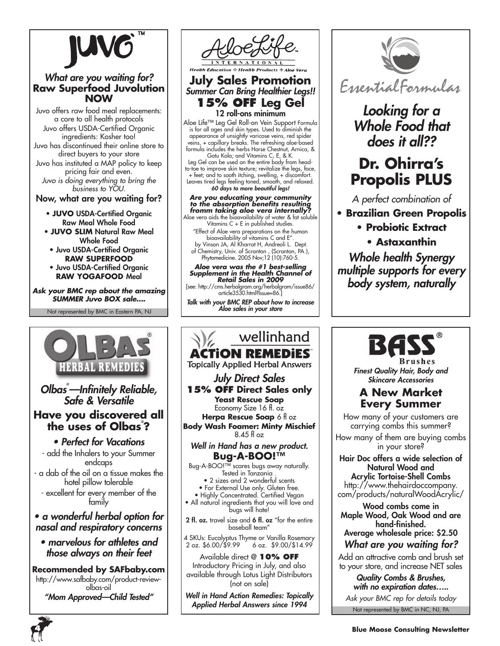

### *What are you waiting for?* **Raw Superfood Juvolution NOW**

Juvo offers raw food meal replacements: a core to all health protocols Juvo offers USDA-Certified Organic ingredients: Kosher too! Juvo has discontinued their online store to direct buyers to your store Juvo has instituted a MAP policy to keep pricing fair and even. *Juvo is doing everything to bring the business to YOU.*

Now, what are you waiting for?

- **Juvo** USDA-Certified Organic Raw Meal Whole Food
- **Juvo Slim** Natural Raw Meal Whole Food
- Juvo USDA-Certified Organic **Raw Superfood** • Juvo USDA-Certified Organic
- **Raw YogaFood** Meal

*Ask your BMC rep about the amazing SUMMER Juvo BOX sale….*

Not represented by BMC in Eastern PA, NJ





### **July Sales Promotion** *Summer Can Bring Healthier Legs!!* **15% off Leg Gel**

12 roll-ons minimum Aloe Life™ Leg Gel Roll-on Vein Support Formula is for all ages and skin types. Used to diminish the appearance of unsightly varicose veins, red spider veins, + capillary breaks. The refreshing aloe-based formula includes the herbs Horse Chestnut, Arnica, & Gotu Kola; and Vitamins C, E, & K.

Leg Gel can be used on the entire body from headto-toe to improve skin texture; revitalize the legs, face, + feet; and to sooth itching, swelling, + discomfort. Leaves tired legs feeling toned, smooth, and relaxed. *60 days to more beautiful legs!*

#### *Are you educating your community to the absorption benefits resulting fromm taking aloe vera internally?*  Aloe vera aids the bioavailability of water & fat soluble

Vitamins C + E in published studies. "Effect of Aloe vera preparations on the human bioavailability of vitamins C and E". by Vinson JA, Al Kharrat H, Andreoli L. Dept. of Chemistry, Univ. of Scranton , (Scranton, PA ), Phytomedicine. 2005 Nov;12 (10):760-5.

*Aloe vera was the #1 best-selling Supplement in the Health Channel of Retail Sales in 2009* 

[see: http://cms.herbalgram.org/herbalgram/issue86/ article3530.html?Issue=86.]

*Talk with your BMC REP about how to increase Aloe sales in your store*

#### wellinhand **ACTION REMEDIES Topically Applied Herbal Answers** *July Direct Sales* **15% OFF Direct Sales only Yeast Rescue Soap** Economy Size 16 fl. oz **Herpa Rescue Soap** 6 fl oz **Body Wash Foamer: Minty Mischief** 8.45 fl oz *Well in Hand has a new product.* **Bug-A-BOO!™** Bug-A-BOO!™ scares bugs away naturally. Tested in Tanzania . • 2 sizes and 2 wonderful scents • For External Use only. Gluten free. • Highly Concentrated. Certified Vegan • All natural ingredients that you will love and bugs will hate! 2 fl. oz. travel size and 6 fl. oz "for the entire baseball team" 4 SKUs: Eucalyptus Thyme or Vanilla Rosemary 2 oz. \$6.00/\$9.99 6 oz. \$9.00/\$14.99 Available direct @ **10% OFF** Introductory Pricing in July, and also available through Lotus Light Distributors (not on sale) *Well in Hand Action Remedies: Topically Applied Herbal Answers since 1994*



## *Looking for a Whole Food that does it all??*

# **Dr. Ohirra's Propolis PLUS**

*A perfect combination of* 

**• Brazilian Green Propolis**

**• Probiotic Extract**

**• Astaxanthin**

*Whole health Synergy multiple supports for every body system, naturally*

Brushes

*Finest Quality Hair, Body and Skincare Accessories*

### **A New Market Every Summer**

How many of your customers are carrying combs this summer? How many of them are buying combs

in your store?

Hair Doc offers a wide selection of Natural Wood and Acrylic Tortoise-Shell Combs

http://www.thehairdoccompany. com/products/naturalWoodAcrylic/

Wood combs come in Maple Wood, Oak Wood and are hand-finished. Average wholesale price: \$2.50

*What are you waiting for?*

Add an attractive comb and brush set to your store, and increase NET sales

Not represented by BMC in NC, NJ, PA *Quality Combs & Brushes, with no expiration dates….. Ask your BMC rep for details today*

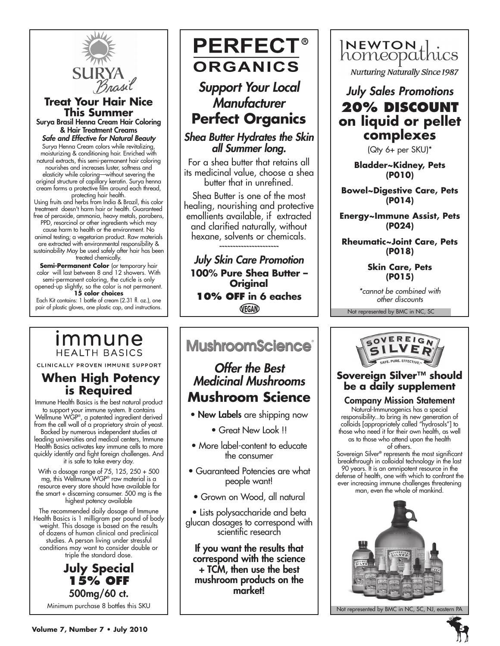

#### **Treat Your Hair Nice This Summer** Surya Brasil Henna Cream Hair Coloring

& Hair Treatment Creams *Safe and Effective for Natural Beauty*

Surya Henna Cream colors while revitalizing, moisturizing & conditioning hair. Enriched with natural extracts, this semi-permanent hair coloring nourishes and increases luster, softness and elasticity while coloring—without severing the original structure of capillary keratin. Surya henna cream forms a protective film around each thread,

protecting hair health. Using fruits and herbs from India & Brazil, this color treatment doesn't harm hair or health. Guaranteed free of peroxide, ammonia, heavy metals, parabens,

PPD, resorcinol or other ingredients which may cause harm to health or the environment. No animal testing; a vegetarian product. Raw materials are extracted with environmental responsibility & sustainability May be used safely after hair has been treated chemically.

**Semi-Permanent Color** (or temporary hair color will last between 8 and 12 showers. With semi-permanent coloring, the cuticle is only

opened-up slightly, so the color is not permanent. **15 color choices**

Each Kit contains: 1 bottle of cream (2.31 fl. oz.), one pair of plastic gloves, one plastic cap, and instructions.

## *Immune* **HEALTH BASICS**

CLINICALLY PROVEN IMMUNE SUPPORT

## **When High Potency is Required**

Immune Health Basics is the best natural product to support your immune system. It contains Wellmune WGP®, a patented ingredient derived from the cell wall of a proprietary strain of yeast. Backed by numerous independent studies at

leading universities and medical centers, Immune Health Basics activates key immune cells to more quickly identify and fight foreign challenges. And it is safe to take every day.

With a dosage range of 75, 125, 250 + 500 mg, this Wellmune WGP® raw material is a resource every store should have available for the smart + discerning consumer. 500 mg is the highest potency available

The recommended daily dosage of Immune Health Basics is 1 milligram per pound of body weight. This dosage is based on the results of dozens of human clinical and preclinical studies. A person living under stressful conditions may want to consider double or triple the standard dose.

### **July Special 15% OFF** 500mg/60 ct. Minimum purchase 8 bottles this SKU



*Support Your Local Manufacturer* **Perfect Organics**

### *Shea Butter Hydrates the Skin all Summer long.*

For a shea butter that retains all its medicinal value, choose a shea butter that in unrefined.

Shea Butter is one of the most healing, nourishing and protective emollients available, if extracted and clarified naturally, without hexane, solvents or chemicals.

*~~~~~~~~~~~~~~~~~~~~~~*

*July Skin Care Promotion* **100% Pure Shea Butter – Original 10% OFF in 6 eaches**VEGAN

# **MushroomScience®**

## *Offer the Best Medicinal Mushrooms* **Mushroom Science**

- New Labels are shipping now
	- Great New Look !!
- More label-content to educate the consumer
- Guaranteed Potencies are what people want!
- Grown on Wood, all natural

• Lists polysaccharide and beta glucan dosages to correspond with scientific research

If you want the results that correspond with the science + TCM, then use the best mushroom products on the market!



*July Sales Promotions*

## **20% discount on liquid or pellet complexes**

(Qty 6+ per SKU)\*

**Bladder~Kidney, Pets (P010)**

**Bowel~Digestive Care, Pets (P014)**

**Energy~Immune Assist, Pets (P024)**

**Rheumatic~Joint Care, Pets (P018)**

> **Skin Care, Pets (P015)**

*\*cannot be combined with other discounts*

Not represented by BMC in NC, SC



## **Sovereign Silver™ should be a daily supplement**

### Company Mission Statement

Natural-Immunogenics has a special responsibility...to bring its new generation of colloids [appropriately called "hydrosols"] to those who need it for their own health, as well as to those who attend upon the health of others.

Sovereign Silver® represents the most significant breakthrough in colloidal technology in the last 90 years. It is an omnipotent resource in the defense of health, one with which to confront the ever increasing immune challenges threatening man, even the whole of mankind.



Not represented by BMC in NC, SC, NJ, eastern PA

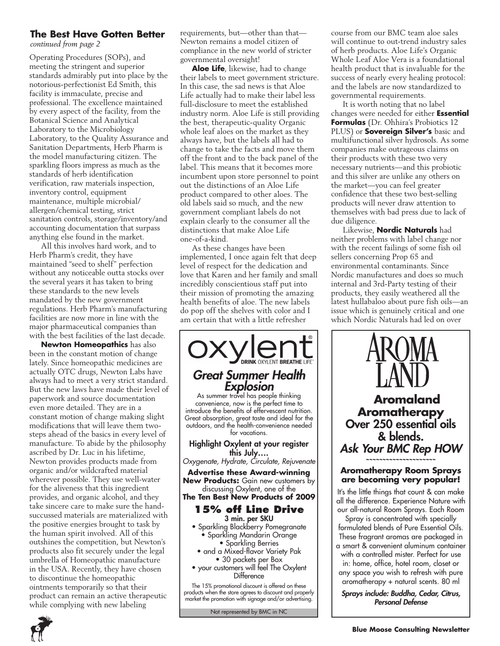### **The Best Have Gotten Better**

*continued from page 2*

Operating Procedures (SOPs), and meeting the stringent and superior standards admirably put into place by the notorious-perfectionist Ed Smith, this facility is immaculate, precise and professional. The excellence maintained by every aspect of the facility, from the Botanical Science and Analytical Laboratory to the Microbiology Laboratory, to the Quality Assurance and Sanitation Departments, Herb Pharm is the model manufacturing citizen. The sparkling floors impress as much as the standards of herb identification verification, raw materials inspection, inventory control, equipment maintenance, multiple microbial/ allergen/chemical testing, strict sanitation controls, storage/inventory/and accounting documentation that surpass anything else found in the market.

All this involves hard work, and to Herb Pharm's credit, they have maintained "seed to shelf" perfection without any noticeable outta stocks over the several years it has taken to bring these standards to the new levels mandated by the new government regulations. Herb Pharm's manufacturing facilities are now more in line with the major pharmaceutical companies than with the best facilities of the last decade.

**Newton Homeopathics** has also been in the constant motion of change lately. Since homeopathic medicines are actually OTC drugs, Newton Labs have always had to meet a very strict standard. But the new laws have made their level of paperwork and source documentation even more detailed. They are in a constant motion of change making slight modifications that will leave them twosteps ahead of the basics in every level of manufacture. To abide by the philosophy ascribed by Dr. Luc in his lifetime, Newton provides products made from organic and/or wildcrafted material wherever possible. They use well-water for the aliveness that this ingredient provides, and organic alcohol, and they take sincere care to make sure the handsuccussed materials are materialized with the positive energies brought to task by the human spirit involved. All of this outshines the competition, but Newton's products also fit securely under the legal umbrella of Homeopathic manufacture in the USA. Recently, they have chosen to discontinue the homeopathic ointments temporarily so that their product can remain an active therapeutic while complying with new labeling

requirements, but—other than that— Newton remains a model citizen of compliance in the new world of stricter governmental oversight!

**Aloe Life**, likewise, had to change their labels to meet government stricture. In this case, the sad news is that Aloe Life actually had to make their label less full-disclosure to meet the established industry norm. Aloe Life is still providing the best, therapeutic-quality Organic whole leaf aloes on the market as they always have, but the labels all had to change to take the facts and move them off the front and to the back panel of the label. This means that it becomes more incumbent upon store personnel to point out the distinctions of an Aloe Life product compared to other aloes. The old labels said so much, and the new government compliant labels do not explain clearly to the consumer all the distinctions that make Aloe Life one-of-a-kind.

As these changes have been implemented, I once again felt that deep level of respect for the dedication and love that Karen and her family and small incredibly conscientious staff put into their mission of promoting the amazing health benefits of aloe. The new labels do pop off the shelves with color and I am certain that with a little refresher



Not represented by BMC in NC

course from our BMC team aloe sales will continue to out-trend industry sales of herb products. Aloe Life's Organic Whole Leaf Aloe Vera is a foundational health product that is invaluable for the success of nearly every healing protocol: and the labels are now standardized to governmental requirements.

It is worth noting that no label changes were needed for either **Essential Formulas** (Dr. Ohhira's Probiotics 12 PLUS) or **Sovereign Silver's** basic and multifunctional silver hydrosols. As some companies make outrageous claims on their products with these two very necessary nutrients—and this probiotic and this silver are unlike any others on the market—you can feel greater confidence that these two best-selling products will never draw attention to themselves with bad press due to lack of due diligence.

Likewise, **Nordic Naturals** had neither problems with label change nor with the recent failings of some fish oil sellers concerning Prop 65 and environmental contaminants. Since Nordic manufactures and does so much internal and 3rd-Party testing of their products, they easily weathered all the latest hullabaloo about pure fish oils—an issue which is genuinely critical and one which Nordic Naturals had led on over



*Personal Defense*

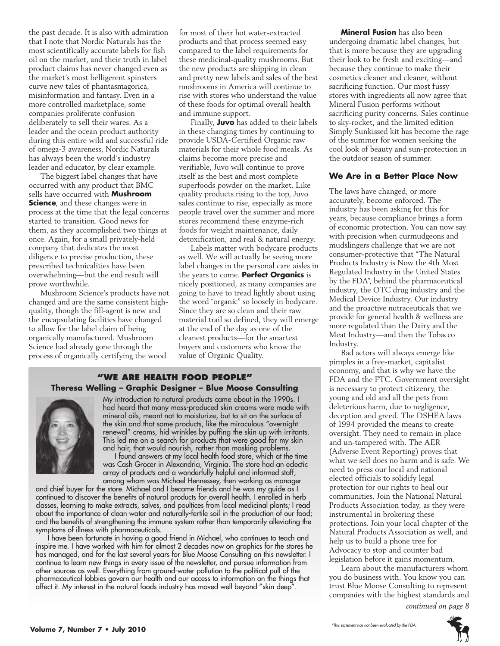the past decade. It is also with admiration that I note that Nordic Naturals has the most scientifically accurate labels for fish oil on the market, and their truth in label product claims has never changed even as the market's most belligerent spinsters curve new tales of phantasmagorica, misinformation and fantasy. Even in a more controlled marketplace, some companies proliferate confusion deliberately to sell their wares. As a leader and the ocean product authority during this entire wild and successful ride of omega-3 awareness, Nordic Naturals has always been the world's industry leader and educator, by clear example.

The biggest label changes that have occurred with any product that BMC sells have occurred with **Mushroom Science**, and these changes were in process at the time that the legal concerns started to transition. Good news for them, as they accomplished two things at once. Again, for a small privately-held company that dedicates the most diligence to precise production, these prescribed technicalities have been overwhelming—but the end result will prove worthwhile.

Mushroom Science's products have not changed and are the same consistent highquality, though the fill-agent is new and the encapsulating facilities have changed to allow for the label claim of being organically manufactured. Mushroom Science had already gone through the process of organically certifying the wood

for most of their hot water-extracted products and that process seemed easy compared to the label requirements for these medicinal-quality mushrooms. But the new products are shipping in clean and pretty new labels and sales of the best mushrooms in America will continue to rise with stores who understand the value of these foods for optimal overall health and immune support.

Finally, **Juvo** has added to their labels in these changing times by continuing to provide USDA-Certified Organic raw materials for their whole food meals. As claims become more precise and verifiable, Juvo will continue to prove itself as the best and most complete superfoods powder on the market. Like quality products rising to the top, Juvo sales continue to rise, especially as more people travel over the summer and more stores recommend these enzyme-rich foods for weight maintenance, daily detoxification, and real & natural energy.

Labels matter with bodycare products as well. We will actually be seeing more label changes in the personal care aisles in the years to come. **Perfect Organics** is nicely positioned, as many companies are going to have to tread lightly about using the word "organic" so loosely in bodycare. Since they are so clean and their raw material trail so defined, they will emerge at the end of the day as one of the cleanest products—for the smartest buyers and customers who know the value of Organic Quality.

### **"We Are health food people" Theresa Welling – Graphic Designer – Blue Moose Consulting**



My introduction to natural products came about in the 1990s. I had heard that many mass-produced skin creams were made with mineral oils, meant not to moisturize, but to sit on the surface of the skin and that some products, like the miraculous "overnight renewal" creams, hid wrinkles by puffing the skin up with irritants. This led me on a search for products that were good for my skin and hair, that would nourish, rather than masking problems.

I found answers at my local health food store, which at the time was Cash Grocer in Alexandria, Virginia. The store had an eclectic array of products and a wonderfully helpful and informed staff, among whom was Michael Hennessey, then working as manager

and chief buyer for the store. Michael and I became friends and he was my guide as I continued to discover the benefits of natural products for overall health. I enrolled in herb classes, learning to make extracts, salves, and poultices from local medicinal plants; I read about the importance of clean water and naturally-fertile soil in the production of our food; and the benefits of strengthening the immune system rather than temporarily alleviating the symptoms of illness with pharmaceuticals.

I have been fortunate in having a good friend in Michael, who continues to teach and inspire me. I have worked with him for almost 2 decades now on graphics for the stores he has managed, and for the last several years for Blue Moose Consulting on this newsletter. I continue to learn new things in every issue of the newsletter, and pursue information from other sources as well. Everything from ground-water pollution to the political pull of the pharmaceutical lobbies govern our health and our access to information on the things that affect it. My interest in the natural foods industry has moved well beyond "skin deep".

**Mineral Fusion** has also been undergoing dramatic label changes, but that is more because they are upgrading their look to be fresh and exciting—and because they continue to make their cosmetics cleaner and cleaner, without sacrificing function. Our most fussy stores with ingredients all now agree that Mineral Fusion performs without sacrificing purity concerns. Sales continue to sky-rocket, and the limited edition Simply Sunkissed kit has become the rage of the summer for women seeking the cool look of beauty and sun-protection in the outdoor season of summer.

#### **We Are in a Better Place Now**

The laws have changed, or more accurately, become enforced. The industry has been asking for this for years, because compliance brings a form of economic protection. You can now say with precision when curmudgeons and mudslingers challenge that we are not consumer-protective that "The Natural Products Industry is Now the 4th Most Regulated Industry in the United States by the FDA", behind the pharmaceutical industry, the OTC drug industry and the Medical Device Industry. Our industry and the proactive nutraceuticals that we provide for general health & wellness are more regulated than the Dairy and the Meat Industry—and then the Tobacco Industry.

Bad actors will always emerge like pimples in a free-market, capitalist economy, and that is why we have the FDA and the FTC. Government oversight is necessary to protect citizenry, the young and old and all the pets from deleterious harm, due to negligence, deception and greed. The DSHEA laws of 1994 provided the means to create oversight. They need to remain in place and un-tampered with. The AER (Adverse Event Reporting) proves that what we sell does no harm and is safe. We need to press our local and national elected officials to solidify legal protection for our rights to heal our communities. Join the National Natural Products Association today, as they were instrumental in brokering these protections. Join your local chapter of the Natural Products Association as well, and help us to build a phone tree for Advocacy to stop and counter bad legislation before it gains momentum.

Learn about the manufacturers whom you do business with. You know you can trust Blue Moose Consulting to represent companies with the highest standards and *continued on page 8*